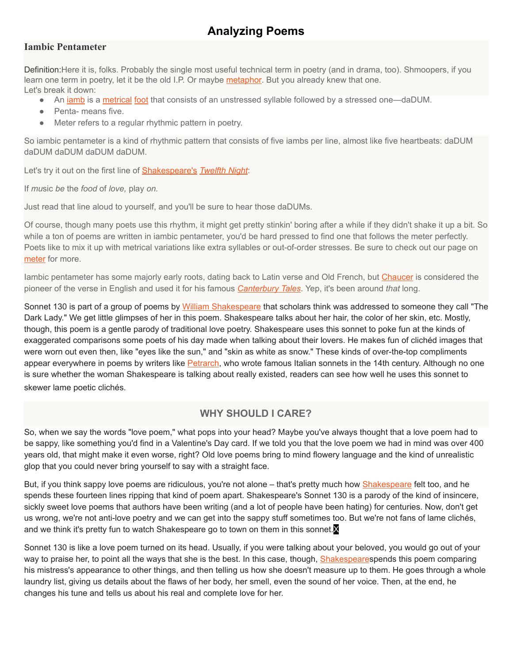# **Analyzing Poems**

# **Iambic Pentameter**

Definition:Here it is, folks. Probably the single most useful technical term in poetry (and in drama, too). Shmoopers, if you learn one term in poetry, let it be the old I.P. Or maybe [metaphor.](https://www.shmoop.com/literature-glossary/metaphor.html) But you already knew that one. Let's break it down:

- An *[iamb](https://www.shmoop.com/literature-glossary/iamb.html)* is a [metrical](https://www.shmoop.com/literature-glossary/meter.html) [foot](https://www.shmoop.com/literature-glossary/foot.html) that consists of an unstressed syllable followed by a stressed one—daDUM.
- Penta- means five.
- Meter refers to a regular rhythmic pattern in poetry.

So iambic pentameter is a kind of rhythmic pattern that consists of five iambs per line, almost like five heartbeats: daDUM daDUM daDUM daDUM daDUM.

Let's try it out on the first line of [Shakespeare's](https://www.shmoop.com/shakespeare/) *[Twelfth](https://www.shmoop.com/twelfth-night/) Night*:

If *mu*sic *be* the *food* of *love,* play *on.*

Just read that line aloud to yourself, and you'll be sure to hear those daDUMs.

Of course, though many poets use this rhythm, it might get pretty stinkin' boring after a while if they didn't shake it up a bit. So while a ton of poems are written in iambic pentameter, you'd be hard pressed to find one that follows the meter perfectly. Poets like to mix it up with metrical variations like extra syllables or out-of-order stresses. Be sure to check out our page on [meter](https://www.shmoop.com/literature-glossary/meter.html) for more.

Iambic pentameter has some majorly early roots, dating back to Latin verse and Old French, but [Chaucer](https://www.shmoop.com/geoffrey-chaucer/) is considered the pioneer of the verse in English and used it for his famous *[Canterbury](https://www.shmoop.com/canterbury-tales-prologue/) Tales*. Yep, it's been around *that* long.

Sonnet 130 is part of a group of poems by William [Shakespeare](http://www.bbc.co.uk/history/historic_figures/shakespeare_william.shtml) that scholars think was addressed to someone they call "The Dark Lady." We get little glimpses of her in this poem. Shakespeare talks about her hair, the color of her skin, etc. Mostly, though, this poem is a gentle parody of traditional love poetry. Shakespeare uses this sonnet to poke fun at the kinds of exaggerated comparisons some poets of his day made when talking about their lovers. He makes fun of clichéd images that were worn out even then, like "eyes like the sun," and "skin as white as snow." These kinds of over-the-top compliments appear everywhere in poems by writers like [Petrarch,](http://www.newadvent.org/cathen/11778a.htm) who wrote famous Italian sonnets in the 14th century. Although no one is sure whether the woman Shakespeare is talking about really existed, readers can see how well he uses this sonnet to skewer lame poetic clichés.

# **WHY SHOULD I CARE?**

So, when we say the words "love poem," what pops into your head? Maybe you've always thought that a love poem had to be sappy, like something you'd find in a Valentine's Day card. If we told you that the love poem we had in mind was over 400 years old, that might make it even worse, right? Old love poems bring to mind flowery language and the kind of unrealistic glop that you could never bring yourself to say with a straight face.

But, if you think sappy love poems are ridiculous, you're not alone – that's pretty much how [Shakespeare](http://www.bbc.co.uk/history/historic_figures/shakespeare_william.shtml) felt too, and he spends these fourteen lines ripping that kind of poem apart. Shakespeare's Sonnet 130 is a parody of the kind of insincere, sickly sweet love poems that authors have been writing (and a lot of people have been hating) for centuries. Now, don't get us wrong, we're not anti-love poetry and we can get into the sappy stuff sometimes too. But we're not fans of lame clichés, and we think it's pretty fun to watch Shakespeare go to town on them in this sonnet.

Sonnet 130 is like a love poem turned on its head. Usually, if you were talking about your beloved, you would go out of your way to praise her, to point all the ways that she is the best. In this case, though, [Shakespeare](http://www.bbc.co.uk/history/historic_figures/shakespeare_william.shtml)spends this poem comparing his mistress's appearance to other things, and then telling us how she doesn't measure up to them. He goes through a whole laundry list, giving us details about the flaws of her body, her smell, even the sound of her voice. Then, at the end, he changes his tune and tells us about his real and complete love for her.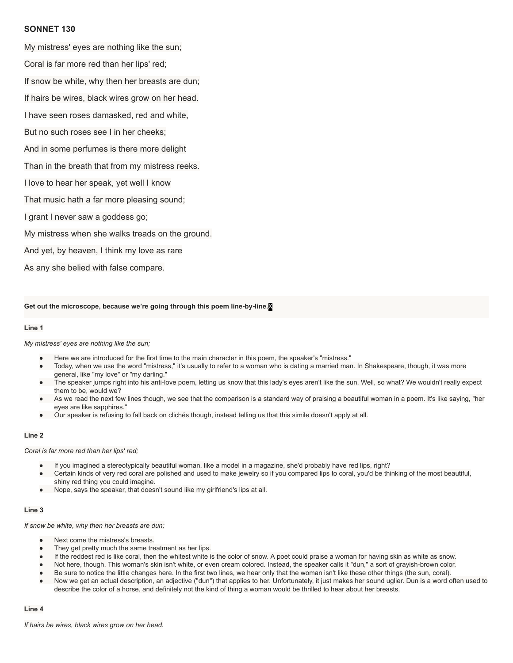## **SONNET 130**

My mistress' eyes are nothing like the sun; Coral is far more red than her lips' red;

If snow be white, why then her breasts are dun;

If hairs be wires, black wires grow on her head.

I have seen roses damasked, red and white,

But no such roses see I in her cheeks;

And in some perfumes is there more delight

Than in the breath that from my mistress reeks.

I love to hear her speak, yet well I know

That music hath a far more pleasing sound;

I grant I never saw a goddess go;

My mistress when she walks treads on the ground.

And yet, by heaven, I think my love as rare

As any she belied with false compare.

**Get out the microscope, because we're going through this poem linebyline.**X

#### **Line 1**

#### *My mistress' eyes are nothing like the sun;*

- Here we are introduced for the first time to the main character in this poem, the speaker's "mistress."
- Today, when we use the word "mistress," it's usually to refer to a woman who is dating a married man. In Shakespeare, though, it was more general, like "my love" or "my darling."
- The speaker jumps right into his anti-love poem, letting us know that this lady's eyes aren't like the sun. Well, so what? We wouldn't really expect them to be, would we?
- As we read the next few lines though, we see that the comparison is a standard way of praising a beautiful woman in a poem. It's like saying, "her eyes are like sapphires."
- Our speaker is refusing to fall back on clichés though, instead telling us that this simile doesn't apply at all.

### **Line 2**

#### *Coral is far more red than her lips' red;*

- If you imagined a stereotypically beautiful woman, like a model in a magazine, she'd probably have red lips, right?
- Certain kinds of very red coral are polished and used to make jewelry so if you compared lips to coral, you'd be thinking of the most beautiful, shiny red thing you could imagine.
- Nope, says the speaker, that doesn't sound like my girlfriend's lips at all.

#### **Line 3**

#### *If snow be white, why then her breasts are dun;*

- Next come the mistress's breasts.
- They get pretty much the same treatment as her lips.
- If the reddest red is like coral, then the whitest white is the color of snow. A poet could praise a woman for having skin as white as snow.
- Not here, though. This woman's skin isn't white, or even cream colored. Instead, the speaker calls it "dun," a sort of grayish-brown color.
- Be sure to notice the little changes here. In the first two lines, we hear only that the woman isn't like these other things (the sun, coral).
- Now we get an actual description, an adjective ("dun") that applies to her. Unfortunately, it just makes her sound uglier. Dun is a word often used to describe the color of a horse, and definitely not the kind of thing a woman would be thrilled to hear about her breasts.

#### **Line 4**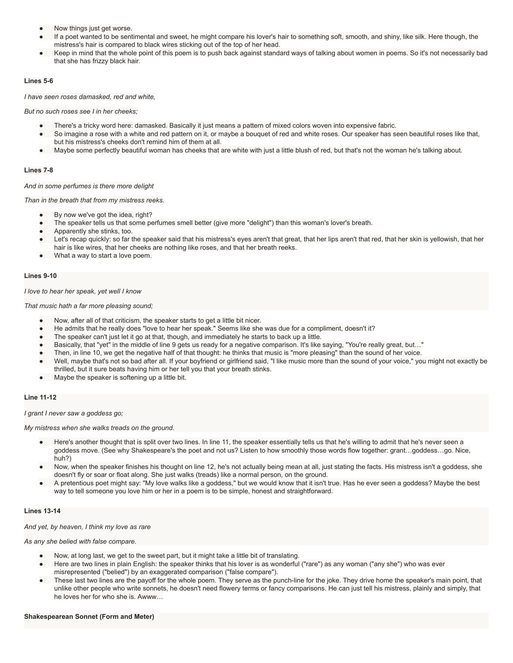- Now things just get worse.
- If a poet wanted to be sentimental and sweet, he might compare his lover's hair to something soft, smooth, and shiny, like silk. Here though, the mistress's hair is compared to black wires sticking out of the top of her head.
- Keep in mind that the whole point of this poem is to push back against standard ways of talking about women in poems. So it's not necessarily bad that she has frizzy black hair.

#### **Lines 56**

*I have seen roses damasked, red and white,*

*But no such roses see I in her cheeks;*

- There's a tricky word here: damasked. Basically it just means a pattern of mixed colors woven into expensive fabric.
- So imagine a rose with a white and red pattern on it, or maybe a bouquet of red and white roses. Our speaker has seen beautiful roses like that, but his mistress's cheeks don't remind him of them at all.
- Maybe some perfectly beautiful woman has cheeks that are white with just a little blush of red, but that's not the woman he's talking about.

#### **Lines** 7-8

*And in some perfumes is there more delight*

*Than in the breath that from my mistress reeks.*

- By now we've got the idea, right?
- The speaker tells us that some perfumes smell better (give more "delight") than this woman's lover's breath.
- Apparently she stinks, too.
- Let's recap quickly: so far the speaker said that his mistress's eyes aren't that great, that her lips aren't that red, that her skin is yellowish, that her hair is like wires, that her cheeks are nothing like roses, and that her breath reeks.
- What a way to start a love poem.

#### **Lines** 9-10

#### *I love to hear her speak, yet well I know*

*That music hath a far more pleasing sound;*

- Now, after all of that criticism, the speaker starts to get a little bit nicer.
- He admits that he really does "love to hear her speak." Seems like she was due for a compliment, doesn't it?
- The speaker can't just let it go at that, though, and immediately he starts to back up a little.
- Basically, that "yet" in the middle of line 9 gets us ready for a negative comparison. It's like saying, "You're really great, but..."
- Then, in line 10, we get the negative half of that thought: he thinks that music is "more pleasing" than the sound of her voice.
- Well, maybe that's not so bad after all. If your boyfriend or girlfriend said, "I like music more than the sound of your voice," you might not exactly be thrilled, but it sure beats having him or her tell you that your breath stinks.
- Maybe the speaker is softening up a little bit.

#### **Line** 11-12

*I grant I never saw a goddess go;*

*My mistress when she walks treads on the ground.*

- Here's another thought that is split over two lines. In line 11, the speaker essentially tells us that he's willing to admit that he's never seen a goddess move. (See why Shakespeare's the poet and not us? Listen to how smoothly those words flow together: grant…goddess…go. Nice, huh?)
- Now, when the speaker finishes his thought on line 12, he's not actually being mean at all, just stating the facts. His mistress isn't a goddess, she doesn't fly or soar or float along. She just walks (treads) like a normal person, on the ground.
- A pretentious poet might say: "My love walks like a goddess," but we would know that it isn't true. Has he ever seen a goddess? Maybe the best way to tell someone you love him or her in a poem is to be simple, honest and straightforward.

## **Lines** 13-14

*And yet, by heaven, I think my love as rare*

*As any she belied with false compare.*

- Now, at long last, we get to the sweet part, but it might take a little bit of translating.
- Here are two lines in plain English: the speaker thinks that his lover is as wonderful ("rare") as any woman ("any she") who was ever misrepresented ("belied") by an exaggerated comparison ("false compare").
- These last two lines are the payoff for the whole poem. They serve as the punch-line for the joke. They drive home the speaker's main point, that unlike other people who write sonnets, he doesn't need flowery terms or fancy comparisons. He can just tell his mistress, plainly and simply, that he loves her for who she is. Awww…

#### **Shakespearean Sonnet (Form and Meter)**